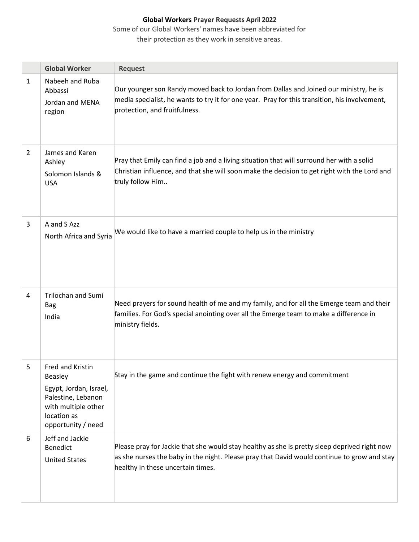Some of our Global Workers' names have been abbreviated for

|                | <b>Global Worker</b>                                                                                                                    | <b>Request</b>                                                                                                                                                                                                                   |
|----------------|-----------------------------------------------------------------------------------------------------------------------------------------|----------------------------------------------------------------------------------------------------------------------------------------------------------------------------------------------------------------------------------|
| $\mathbf{1}$   | Nabeeh and Ruba<br>Abbassi<br>Jordan and MENA<br>region                                                                                 | Our younger son Randy moved back to Jordan from Dallas and Joined our ministry, he is<br>media specialist, he wants to try it for one year. Pray for this transition, his involvement,<br>protection, and fruitfulness.          |
| $\overline{2}$ | James and Karen<br>Ashley<br>Solomon Islands &<br><b>USA</b>                                                                            | Pray that Emily can find a job and a living situation that will surround her with a solid<br>Christian influence, and that she will soon make the decision to get right with the Lord and<br>truly follow Him                    |
| 3              | A and S Azz<br>North Africa and Syria                                                                                                   | We would like to have a married couple to help us in the ministry                                                                                                                                                                |
| 4              | <b>Trilochan and Sumi</b><br><b>Bag</b><br>India                                                                                        | Need prayers for sound health of me and my family, and for all the Emerge team and their<br>families. For God's special anointing over all the Emerge team to make a difference in<br>ministry fields.                           |
| 5              | Fred and Kristin<br>Beasley<br>Egypt, Jordan, Israel,<br>Palestine, Lebanon<br>with multiple other<br>location as<br>opportunity / need | Stay in the game and continue the fight with renew energy and commitment                                                                                                                                                         |
| 6              | Jeff and Jackie<br>Benedict<br><b>United States</b>                                                                                     | Please pray for Jackie that she would stay healthy as she is pretty sleep deprived right now<br>as she nurses the baby in the night. Please pray that David would continue to grow and stay<br>healthy in these uncertain times. |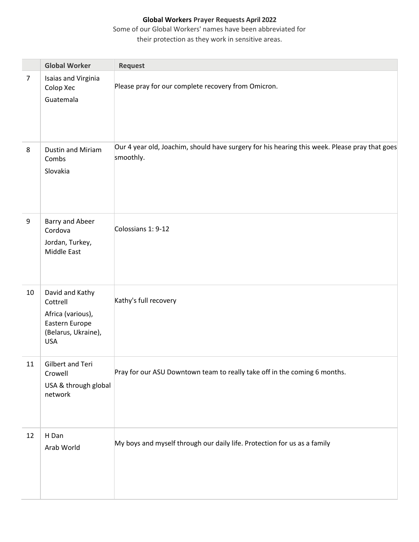Some of our Global Workers' names have been abbreviated for

|                | <b>Global Worker</b>                                                                                    | Request                                                                                                    |
|----------------|---------------------------------------------------------------------------------------------------------|------------------------------------------------------------------------------------------------------------|
| $\overline{7}$ | Isaias and Virginia<br>Colop Xec<br>Guatemala                                                           | Please pray for our complete recovery from Omicron.                                                        |
| 8              | Dustin and Miriam<br>Combs<br>Slovakia                                                                  | Our 4 year old, Joachim, should have surgery for his hearing this week. Please pray that goes<br>smoothly. |
| 9              | <b>Barry and Abeer</b><br>Cordova<br>Jordan, Turkey,<br><b>Middle East</b>                              | Colossians 1: 9-12                                                                                         |
| 10             | David and Kathy<br>Cottrell<br>Africa (various),<br>Eastern Europe<br>(Belarus, Ukraine),<br><b>USA</b> | Kathy's full recovery                                                                                      |
| 11             | Gilbert and Teri<br>Crowell<br>USA & through global<br>network                                          | Pray for our ASU Downtown team to really take off in the coming 6 months.                                  |
| 12             | H Dan<br>Arab World                                                                                     | My boys and myself through our daily life. Protection for us as a family                                   |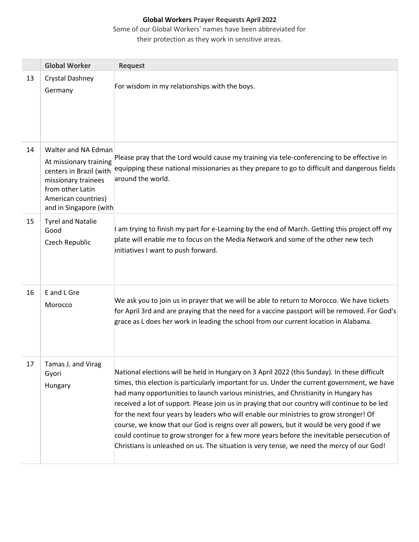Some of our Global Workers' names have been abbreviated for

|    | <b>Global Worker</b>                                                                                                                                                 | <b>Request</b>                                                                                                                                                                                                                                                                                                                                                                                                                                                                                                                                                                                                                                                                                                                                                       |
|----|----------------------------------------------------------------------------------------------------------------------------------------------------------------------|----------------------------------------------------------------------------------------------------------------------------------------------------------------------------------------------------------------------------------------------------------------------------------------------------------------------------------------------------------------------------------------------------------------------------------------------------------------------------------------------------------------------------------------------------------------------------------------------------------------------------------------------------------------------------------------------------------------------------------------------------------------------|
| 13 | Crystal Dashney<br>Germany                                                                                                                                           | For wisdom in my relationships with the boys.                                                                                                                                                                                                                                                                                                                                                                                                                                                                                                                                                                                                                                                                                                                        |
| 14 | Walter and NA Edman<br>At missionary training<br>centers in Brazil (with<br>missionary trainees<br>from other Latin<br>American countries)<br>and in Singapore (with | Please pray that the Lord would cause my training via tele-conferencing to be effective in<br>equipping these national missionaries as they prepare to go to difficult and dangerous fields<br>around the world.                                                                                                                                                                                                                                                                                                                                                                                                                                                                                                                                                     |
| 15 | <b>Tyrel and Natalie</b><br>Good<br>Czech Republic                                                                                                                   | I am trying to finish my part for e-Learning by the end of March. Getting this project off my<br>plate will enable me to focus on the Media Network and some of the other new tech<br>initiatives I want to push forward.                                                                                                                                                                                                                                                                                                                                                                                                                                                                                                                                            |
| 16 | E and L Gre<br>Morocco                                                                                                                                               | We ask you to join us in prayer that we will be able to return to Morocco. We have tickets<br>for April 3rd and are praying that the need for a vaccine passport will be removed. For God's<br>grace as L does her work in leading the school from our current location in Alabama.                                                                                                                                                                                                                                                                                                                                                                                                                                                                                  |
| 17 | Tamas J. and Virag<br>Gyori<br>Hungary                                                                                                                               | National elections will be held in Hungary on 3 April 2022 (this Sunday). In these difficult<br>times, this election is particularly important for us. Under the current government, we have<br>had many opportunities to launch various ministries, and Christianity in Hungary has<br>received a lot of support. Please join us in praying that our country will continue to be led<br>for the next four years by leaders who will enable our ministries to grow stronger! Of<br>course, we know that our God is reigns over all powers, but it would be very good if we<br>could continue to grow stronger for a few more years before the inevitable persecution of<br>Christians is unleashed on us. The situation is very tense, we need the mercy of our God! |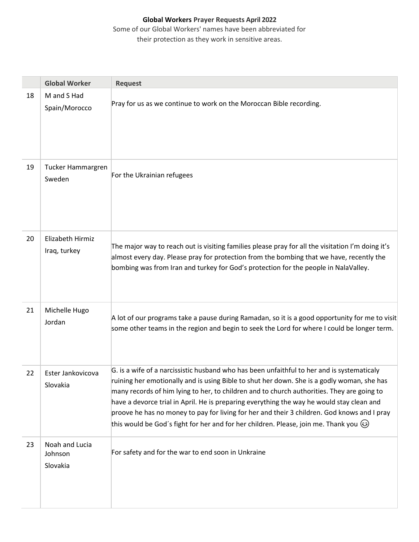|    | <b>Global Worker</b>                  | <b>Request</b>                                                                                                                                                                                                                                                                                                                                                                                                                                                                                                                                                                          |
|----|---------------------------------------|-----------------------------------------------------------------------------------------------------------------------------------------------------------------------------------------------------------------------------------------------------------------------------------------------------------------------------------------------------------------------------------------------------------------------------------------------------------------------------------------------------------------------------------------------------------------------------------------|
| 18 | M and S Had<br>Spain/Morocco          | Pray for us as we continue to work on the Moroccan Bible recording.                                                                                                                                                                                                                                                                                                                                                                                                                                                                                                                     |
| 19 | Tucker Hammargren<br>Sweden           | For the Ukrainian refugees                                                                                                                                                                                                                                                                                                                                                                                                                                                                                                                                                              |
| 20 | Elizabeth Hirmiz<br>Iraq, turkey      | The major way to reach out is visiting families please pray for all the visitation I'm doing it's<br>almost every day. Please pray for protection from the bombing that we have, recently the<br>bombing was from Iran and turkey for God's protection for the people in NalaValley.                                                                                                                                                                                                                                                                                                    |
| 21 | Michelle Hugo<br>Jordan               | A lot of our programs take a pause during Ramadan, so it is a good opportunity for me to visit<br>some other teams in the region and begin to seek the Lord for where I could be longer term.                                                                                                                                                                                                                                                                                                                                                                                           |
| 22 | Ester Jankovicova<br>Slovakia         | G. is a wife of a narcissistic husband who has been unfaithful to her and is systematicaly<br>ruining her emotionally and is using Bible to shut her down. She is a godly woman, she has<br>many records of him lying to her, to children and to church authorities. They are going to<br>have a devorce trial in April. He is preparing everything the way he would stay clean and<br>proove he has no money to pay for living for her and their 3 children. God knows and I pray<br>this would be God's fight for her and for her children. Please, join me. Thank you $\circledcirc$ |
| 23 | Noah and Lucia<br>Johnson<br>Slovakia | For safety and for the war to end soon in Unkraine                                                                                                                                                                                                                                                                                                                                                                                                                                                                                                                                      |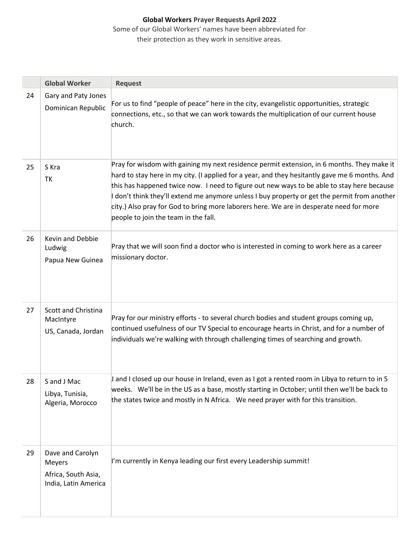|    | <b>Global Worker</b>                                                             | <b>Request</b>                                                                                                                                                                                                                                                                                                                                                                                                                                                                                                                |
|----|----------------------------------------------------------------------------------|-------------------------------------------------------------------------------------------------------------------------------------------------------------------------------------------------------------------------------------------------------------------------------------------------------------------------------------------------------------------------------------------------------------------------------------------------------------------------------------------------------------------------------|
| 24 | Gary and Paty Jones<br>Dominican Republic                                        | For us to find "people of peace" here in the city, evangelistic opportunities, strategic<br>connections, etc., so that we can work towards the multiplication of our current house<br>church.                                                                                                                                                                                                                                                                                                                                 |
| 25 | S Kra<br>TK                                                                      | Pray for wisdom with gaining my next residence permit extension, in 6 months. They make it<br>hard to stay here in my city. (I applied for a year, and they hesitantly gave me 6 months. And<br>this has happened twice now. I need to figure out new ways to be able to stay here because<br>I don't think they'll extend me anymore unless I buy property or get the permit from another<br>city.) Also pray for God to bring more laborers here. We are in desperate need for more<br>people to join the team in the fall. |
| 26 | <b>Kevin and Debbie</b><br>Ludwig<br>Papua New Guinea                            | Pray that we will soon find a doctor who is interested in coming to work here as a career<br>missionary doctor.                                                                                                                                                                                                                                                                                                                                                                                                               |
| 27 | Scott and Christina<br>MacIntyre<br>US, Canada, Jordan                           | Pray for our ministry efforts - to several church bodies and student groups coming up,<br>continued usefulness of our TV Special to encourage hearts in Christ, and for a number of<br>individuals we're walking with through challenging times of searching and growth.                                                                                                                                                                                                                                                      |
| 28 | S and J Mac<br>Libya, Tunisia,<br>Algeria, Morocco                               | J and I closed up our house in Ireland, even as I got a rented room in Libya to return to in 5<br>weeks. We'll be in the US as a base, mostly starting in October; until then we'll be back to<br>the states twice and mostly in N Africa. We need prayer with for this transition.                                                                                                                                                                                                                                           |
| 29 | Dave and Carolyn<br><b>Meyers</b><br>Africa, South Asia,<br>India, Latin America | I'm currently in Kenya leading our first every Leadership summit!                                                                                                                                                                                                                                                                                                                                                                                                                                                             |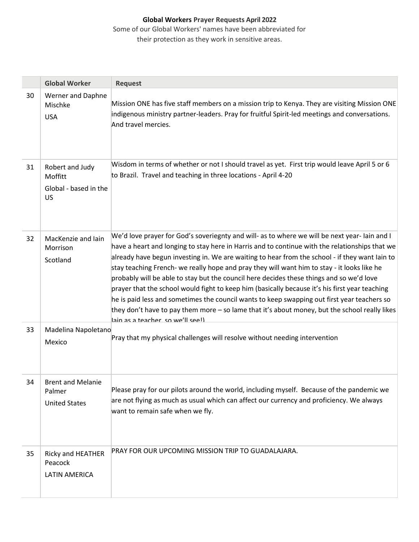|    | <b>Global Worker</b>                                       | <b>Request</b>                                                                                                                                                                                                                                                                                                                                                                                                                                                                                                                                                                                                                                                                                                                                                                                                                     |
|----|------------------------------------------------------------|------------------------------------------------------------------------------------------------------------------------------------------------------------------------------------------------------------------------------------------------------------------------------------------------------------------------------------------------------------------------------------------------------------------------------------------------------------------------------------------------------------------------------------------------------------------------------------------------------------------------------------------------------------------------------------------------------------------------------------------------------------------------------------------------------------------------------------|
| 30 | <b>Werner and Daphne</b><br>Mischke<br><b>USA</b>          | Mission ONE has five staff members on a mission trip to Kenya. They are visiting Mission ONE<br>indigenous ministry partner-leaders. Pray for fruitful Spirit-led meetings and conversations.<br>And travel mercies.                                                                                                                                                                                                                                                                                                                                                                                                                                                                                                                                                                                                               |
| 31 | Robert and Judy<br>Moffitt<br>Global - based in the<br>US  | Wisdom in terms of whether or not I should travel as yet. First trip would leave April 5 or 6<br>to Brazil. Travel and teaching in three locations - April 4-20                                                                                                                                                                                                                                                                                                                                                                                                                                                                                                                                                                                                                                                                    |
| 32 | MacKenzie and Iain<br>Morrison<br>Scotland                 | We'd love prayer for God's soveriegnty and will- as to where we will be next year-lain and I<br>have a heart and longing to stay here in Harris and to continue with the relationships that we<br>already have begun investing in. We are waiting to hear from the school - if they want lain to<br>stay teaching French- we really hope and pray they will want him to stay - it looks like he<br>probably will be able to stay but the council here decides these things and so we'd love<br>prayer that the school would fight to keep him (basically because it's his first year teaching<br>he is paid less and sometimes the council wants to keep swapping out first year teachers so<br>they don't have to pay them more - so lame that it's about money, but the school really likes<br>lain as a teacher, so we'll seel) |
| 33 | Madelina Napoletano<br>Mexico                              | Pray that my physical challenges will resolve without needing intervention                                                                                                                                                                                                                                                                                                                                                                                                                                                                                                                                                                                                                                                                                                                                                         |
| 34 | <b>Brent and Melanie</b><br>Palmer<br><b>United States</b> | Please pray for our pilots around the world, including myself. Because of the pandemic we<br>are not flying as much as usual which can affect our currency and proficiency. We always<br>want to remain safe when we fly.                                                                                                                                                                                                                                                                                                                                                                                                                                                                                                                                                                                                          |
| 35 | Ricky and HEATHER<br>Peacock<br><b>LATIN AMERICA</b>       | PRAY FOR OUR UPCOMING MISSION TRIP TO GUADALAJARA.                                                                                                                                                                                                                                                                                                                                                                                                                                                                                                                                                                                                                                                                                                                                                                                 |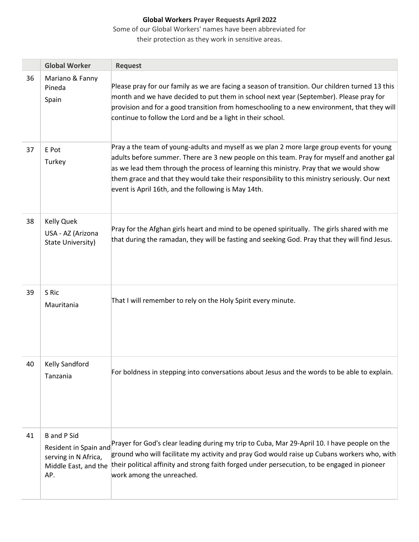Some of our Global Workers' names have been abbreviated for

|    | <b>Global Worker</b>                                                                               | <b>Request</b>                                                                                                                                                                                                                                                                                                                                                                                                                            |
|----|----------------------------------------------------------------------------------------------------|-------------------------------------------------------------------------------------------------------------------------------------------------------------------------------------------------------------------------------------------------------------------------------------------------------------------------------------------------------------------------------------------------------------------------------------------|
| 36 | Mariano & Fanny<br>Pineda<br>Spain                                                                 | Please pray for our family as we are facing a season of transition. Our children turned 13 this<br>month and we have decided to put them in school next year (September). Please pray for<br>provision and for a good transition from homeschooling to a new environment, that they will<br>continue to follow the Lord and be a light in their school.                                                                                   |
| 37 | E Pot<br>Turkey                                                                                    | Pray a the team of young-adults and myself as we plan 2 more large group events for young<br>adults before summer. There are 3 new people on this team. Pray for myself and another gal<br>as we lead them through the process of learning this ministry. Pray that we would show<br>them grace and that they would take their responsibility to this ministry seriously. Our next<br>event is April 16th, and the following is May 14th. |
| 38 | <b>Kelly Quek</b><br>USA - AZ (Arizona<br>State University)                                        | Pray for the Afghan girls heart and mind to be opened spiritually. The girls shared with me<br>that during the ramadan, they will be fasting and seeking God. Pray that they will find Jesus.                                                                                                                                                                                                                                             |
| 39 | S Ric<br>Mauritania                                                                                | That I will remember to rely on the Holy Spirit every minute.                                                                                                                                                                                                                                                                                                                                                                             |
| 40 | <b>Kelly Sandford</b><br>Tanzania                                                                  | For boldness in stepping into conversations about Jesus and the words to be able to explain.                                                                                                                                                                                                                                                                                                                                              |
| 41 | <b>B</b> and P Sid<br>Resident in Spain and<br>serving in N Africa,<br>Middle East, and the<br>AP. | Prayer for God's clear leading during my trip to Cuba, Mar 29-April 10. I have people on the<br>ground who will facilitate my activity and pray God would raise up Cubans workers who, with<br>their political affinity and strong faith forged under persecution, to be engaged in pioneer<br>work among the unreached.                                                                                                                  |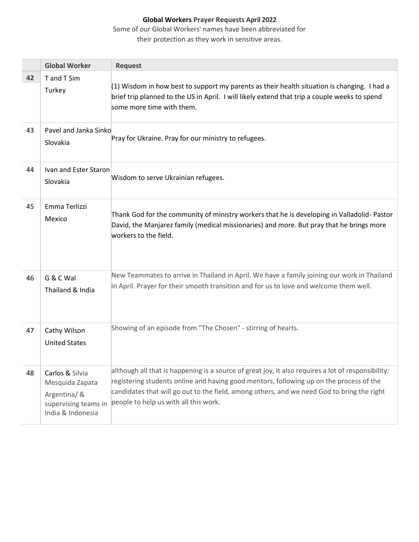Some of our Global Workers' names have been abbreviated for

|    | <b>Global Worker</b>                                                                            | <b>Request</b>                                                                                                                                                                                                                                                                                                                       |
|----|-------------------------------------------------------------------------------------------------|--------------------------------------------------------------------------------------------------------------------------------------------------------------------------------------------------------------------------------------------------------------------------------------------------------------------------------------|
| 42 | T and T Sim<br>Turkey                                                                           | $(1)$ Wisdom in how best to support my parents as their health situation is changing. I had a<br>brief trip planned to the US in April. I will likely extend that trip a couple weeks to spend<br>some more time with them.                                                                                                          |
| 43 | Pavel and Janka Sinko<br>Slovakia                                                               | Pray for Ukraine. Pray for our ministry to refugees.                                                                                                                                                                                                                                                                                 |
| 44 | Ivan and Ester Staron<br>Slovakia                                                               | Wisdom to serve Ukrainian refugees.                                                                                                                                                                                                                                                                                                  |
| 45 | Emma Terlizzi<br>Mexico                                                                         | Thank God for the community of ministry workers that he is developing in Valladolid-Pastor<br>David, the Manjarez family (medical missionaries) and more. But pray that he brings more<br>workers to the field.                                                                                                                      |
| 46 | G & C Wal<br>Thailand & India                                                                   | New Teammates to arrive in Thailand in April. We have a family joining our work in Thailand<br>in April. Prayer for their smooth transition and for us to love and welcome them well.                                                                                                                                                |
| 47 | Cathy Wilson<br><b>United States</b>                                                            | Showing of an episode from "The Chosen" - stirring of hearts.                                                                                                                                                                                                                                                                        |
| 48 | Carlos & Silvia<br>Mesquida Zapata<br>Argentina/ &<br>supervising teams in<br>India & Indonesia | although all that is happening is a source of great joy, it also requires a lot of responsibility:<br>registering students online and having good mentors, following up on the process of the<br>candidates that will go out to the field, among others, and we need God to bring the right<br>people to help us with all this work. |